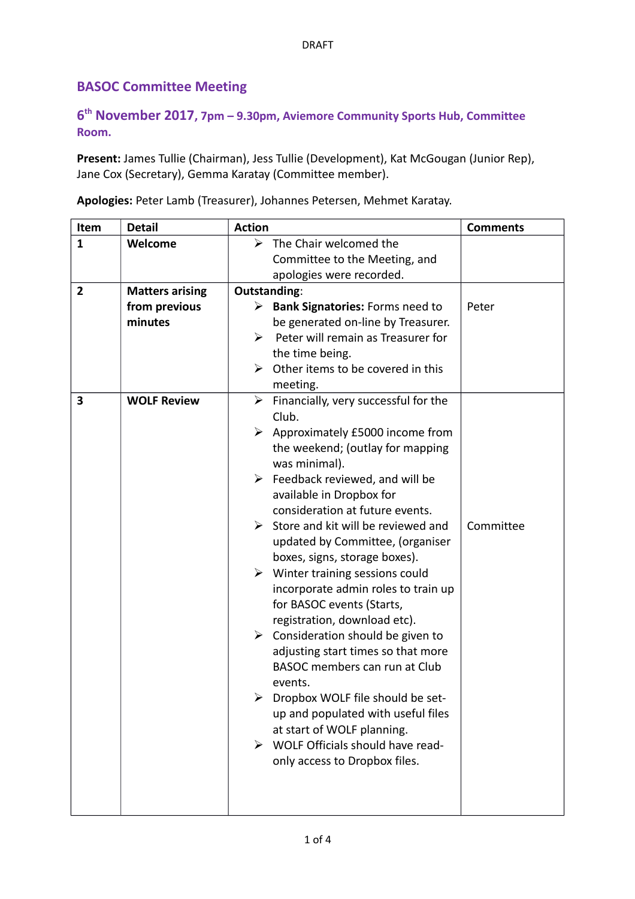## **BASOC Committee Meeting**

## **6 th November 2017, 7pm – 9.30pm, Aviemore Community Sports Hub, Committee Room.**

**Present:** James Tullie (Chairman), Jess Tullie (Development), Kat McGougan (Junior Rep), Jane Cox (Secretary), Gemma Karatay (Committee member).

**Apologies:** Peter Lamb (Treasurer), Johannes Petersen, Mehmet Karatay.

| Item           | <b>Detail</b>          | <b>Action</b>                                                                   | <b>Comments</b> |
|----------------|------------------------|---------------------------------------------------------------------------------|-----------------|
| $\mathbf{1}$   | Welcome                | $\triangleright$ The Chair welcomed the                                         |                 |
|                |                        | Committee to the Meeting, and                                                   |                 |
|                |                        | apologies were recorded.                                                        |                 |
| $\overline{2}$ | <b>Matters arising</b> | Outstanding:                                                                    |                 |
|                | from previous          | $\triangleright$ Bank Signatories: Forms need to                                | Peter           |
|                | minutes                | be generated on-line by Treasurer.                                              |                 |
|                |                        | Peter will remain as Treasurer for<br>➤                                         |                 |
|                |                        | the time being.                                                                 |                 |
|                |                        | Other items to be covered in this<br>⋗<br>meeting.                              |                 |
| 3              | <b>WOLF Review</b>     | $\triangleright$ Financially, very successful for the                           |                 |
|                |                        | Club.                                                                           |                 |
|                |                        | Approximately £5000 income from<br>➤                                            |                 |
|                |                        | the weekend; (outlay for mapping                                                |                 |
|                |                        | was minimal).                                                                   |                 |
|                |                        | $\triangleright$ Feedback reviewed, and will be                                 |                 |
|                |                        | available in Dropbox for                                                        |                 |
|                |                        | consideration at future events.                                                 |                 |
|                |                        | $\triangleright$ Store and kit will be reviewed and                             | Committee       |
|                |                        | updated by Committee, (organiser                                                |                 |
|                |                        | boxes, signs, storage boxes).                                                   |                 |
|                |                        | $\triangleright$ Winter training sessions could                                 |                 |
|                |                        | incorporate admin roles to train up                                             |                 |
|                |                        | for BASOC events (Starts,                                                       |                 |
|                |                        | registration, download etc).                                                    |                 |
|                |                        | $\triangleright$ Consideration should be given to                               |                 |
|                |                        | adjusting start times so that more                                              |                 |
|                |                        | BASOC members can run at Club                                                   |                 |
|                |                        | events.                                                                         |                 |
|                |                        | Dropbox WOLF file should be set-                                                |                 |
|                |                        | up and populated with useful files                                              |                 |
|                |                        | at start of WOLF planning.<br>$\triangleright$ WOLF Officials should have read- |                 |
|                |                        | only access to Dropbox files.                                                   |                 |
|                |                        |                                                                                 |                 |
|                |                        |                                                                                 |                 |
|                |                        |                                                                                 |                 |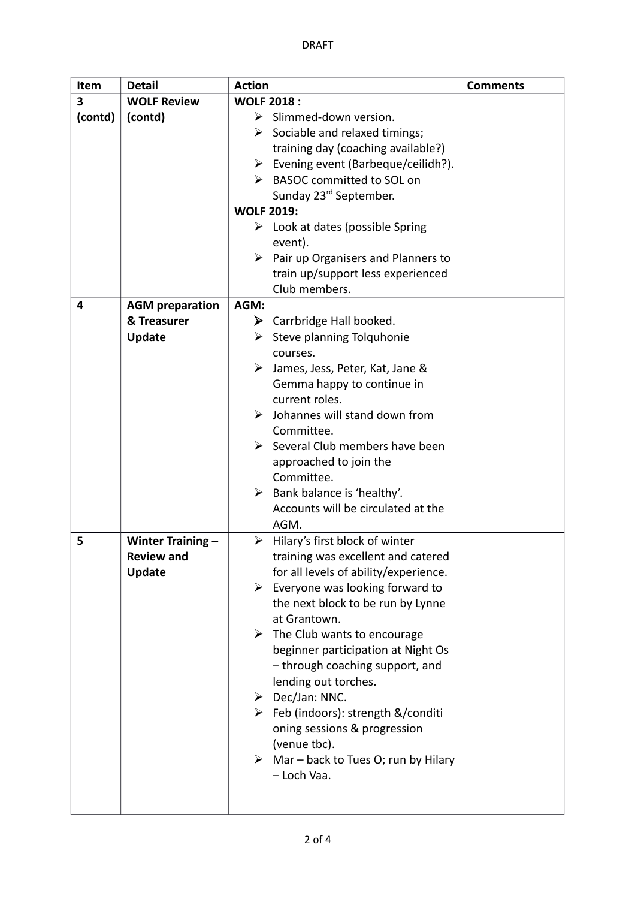| Item    | <b>Detail</b>            | <b>Action</b>                                        | <b>Comments</b> |
|---------|--------------------------|------------------------------------------------------|-----------------|
| 3       | <b>WOLF Review</b>       | <b>WOLF 2018:</b>                                    |                 |
| (contd) | (contd)                  | $\triangleright$ Slimmed-down version.               |                 |
|         |                          | $\triangleright$ Sociable and relaxed timings;       |                 |
|         |                          | training day (coaching available?)                   |                 |
|         |                          | $\triangleright$ Evening event (Barbeque/ceilidh?).  |                 |
|         |                          | > BASOC committed to SOL on                          |                 |
|         |                          | Sunday 23 <sup>rd</sup> September.                   |                 |
|         |                          | <b>WOLF 2019:</b>                                    |                 |
|         |                          | $\triangleright$ Look at dates (possible Spring      |                 |
|         |                          | event).                                              |                 |
|         |                          | Pair up Organisers and Planners to<br>➤              |                 |
|         |                          | train up/support less experienced                    |                 |
|         |                          | Club members.                                        |                 |
| 4       | <b>AGM</b> preparation   | AGM:                                                 |                 |
|         | & Treasurer              | $\triangleright$ Carrbridge Hall booked.             |                 |
|         | <b>Update</b>            | $\triangleright$ Steve planning Tolquhonie           |                 |
|         |                          | courses.                                             |                 |
|         |                          | ➤<br>James, Jess, Peter, Kat, Jane &                 |                 |
|         |                          | Gemma happy to continue in                           |                 |
|         |                          | current roles.                                       |                 |
|         |                          | Johannes will stand down from                        |                 |
|         |                          | Committee.                                           |                 |
|         |                          | $\triangleright$ Several Club members have been      |                 |
|         |                          | approached to join the                               |                 |
|         |                          | Committee.                                           |                 |
|         |                          | Bank balance is 'healthy'.<br>➤                      |                 |
|         |                          | Accounts will be circulated at the<br>AGM.           |                 |
| 5       | <b>Winter Training -</b> | Hilary's first block of winter<br>➤                  |                 |
|         | <b>Review and</b>        | training was excellent and catered                   |                 |
|         | <b>Update</b>            | for all levels of ability/experience.                |                 |
|         |                          | Everyone was looking forward to<br>➤                 |                 |
|         |                          | the next block to be run by Lynne                    |                 |
|         |                          | at Grantown.                                         |                 |
|         |                          | $\triangleright$ The Club wants to encourage         |                 |
|         |                          | beginner participation at Night Os                   |                 |
|         |                          | - through coaching support, and                      |                 |
|         |                          | lending out torches.                                 |                 |
|         |                          | $\triangleright$ Dec/Jan: NNC.                       |                 |
|         |                          | ▶ Feb (indoors): strength &/conditi                  |                 |
|         |                          | oning sessions & progression                         |                 |
|         |                          | (venue tbc).                                         |                 |
|         |                          | $\triangleright$ Mar – back to Tues O; run by Hilary |                 |
|         |                          | - Loch Vaa.                                          |                 |
|         |                          |                                                      |                 |
|         |                          |                                                      |                 |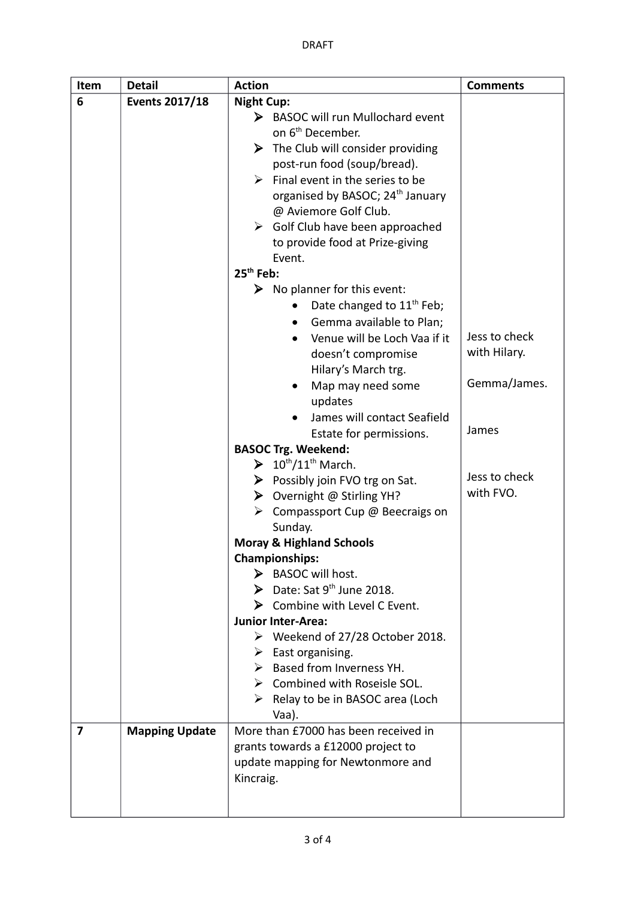| Item | <b>Detail</b>         | <b>Action</b>                                                                 | <b>Comments</b> |
|------|-----------------------|-------------------------------------------------------------------------------|-----------------|
| 6    | <b>Events 2017/18</b> | <b>Night Cup:</b>                                                             |                 |
|      |                       | $\triangleright$ BASOC will run Mullochard event                              |                 |
|      |                       | on 6 <sup>th</sup> December.                                                  |                 |
|      |                       | $\triangleright$ The Club will consider providing                             |                 |
|      |                       | post-run food (soup/bread).                                                   |                 |
|      |                       | $\triangleright$ Final event in the series to be                              |                 |
|      |                       | organised by BASOC; 24 <sup>th</sup> January<br>@ Aviemore Golf Club.         |                 |
|      |                       | $\triangleright$ Golf Club have been approached                               |                 |
|      |                       | to provide food at Prize-giving                                               |                 |
|      |                       | Event.                                                                        |                 |
|      |                       | $25th$ Feb:                                                                   |                 |
|      |                       | $\triangleright$ No planner for this event:                                   |                 |
|      |                       | Date changed to 11 <sup>th</sup> Feb;                                         |                 |
|      |                       | Gemma available to Plan;<br>$\bullet$                                         |                 |
|      |                       | Venue will be Loch Vaa if it                                                  | Jess to check   |
|      |                       | doesn't compromise                                                            | with Hilary.    |
|      |                       | Hilary's March trg.                                                           |                 |
|      |                       | Map may need some                                                             | Gemma/James.    |
|      |                       | updates                                                                       |                 |
|      |                       | James will contact Seafield                                                   |                 |
|      |                       | Estate for permissions.                                                       | James           |
|      |                       | <b>BASOC Trg. Weekend:</b>                                                    |                 |
|      |                       | $\triangleright$ 10 <sup>th</sup> /11 <sup>th</sup> March.                    | Jess to check   |
|      |                       | > Possibly join FVO trg on Sat.                                               | with FVO.       |
|      |                       | > Overnight @ Stirling YH?<br>$\triangleright$ Compassport Cup @ Beecraigs on |                 |
|      |                       | Sunday.                                                                       |                 |
|      |                       | <b>Moray &amp; Highland Schools</b>                                           |                 |
|      |                       | <b>Championships:</b>                                                         |                 |
|      |                       | $\triangleright$ BASOC will host.                                             |                 |
|      |                       | $\triangleright$ Date: Sat 9 <sup>th</sup> June 2018.                         |                 |
|      |                       | > Combine with Level C Event.                                                 |                 |
|      |                       | <b>Junior Inter-Area:</b>                                                     |                 |
|      |                       | $\triangleright$ Weekend of 27/28 October 2018.                               |                 |
|      |                       | $\triangleright$ East organising.                                             |                 |
|      |                       | $\triangleright$ Based from Inverness YH.                                     |                 |
|      |                       | $\triangleright$ Combined with Roseisle SOL.                                  |                 |
|      |                       | $\triangleright$ Relay to be in BASOC area (Loch                              |                 |
|      |                       | Vaa).                                                                         |                 |
| 7    | <b>Mapping Update</b> | More than £7000 has been received in                                          |                 |
|      |                       | grants towards a £12000 project to<br>update mapping for Newtonmore and       |                 |
|      |                       | Kincraig.                                                                     |                 |
|      |                       |                                                                               |                 |
|      |                       |                                                                               |                 |